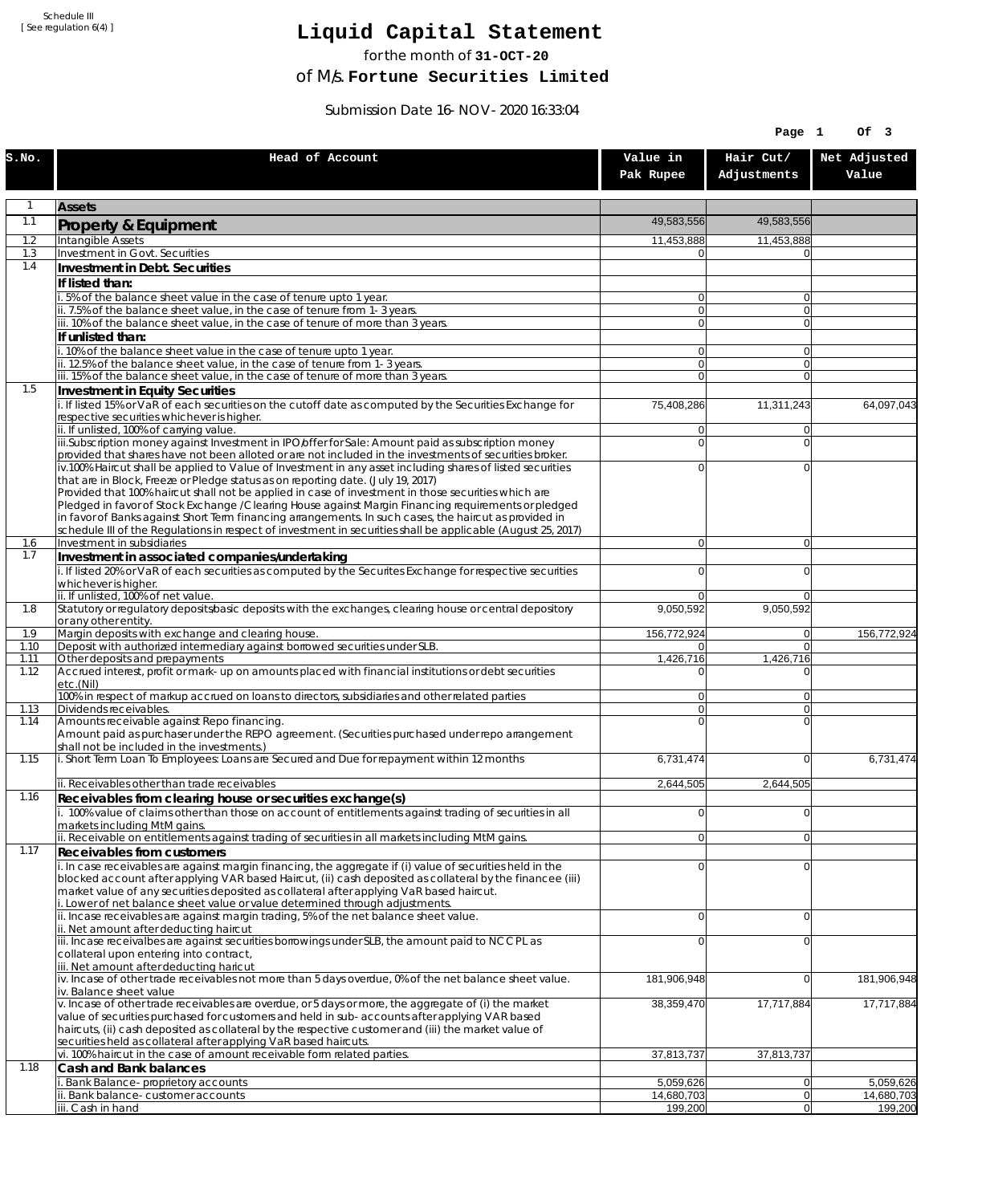Schedule III [ See regulation 6(4) ]

## **Liquid Capital Statement**

for the month of **31-OCT-20**

of M/s. **Fortune Securities Limited**

Submission Date 16-NOV-2020 16:33:04

|              |                                                                                                                                                                                                                        |                                  | Page 1                     | Of 3                  |
|--------------|------------------------------------------------------------------------------------------------------------------------------------------------------------------------------------------------------------------------|----------------------------------|----------------------------|-----------------------|
| S.NO.        | Head of Account                                                                                                                                                                                                        | Value in<br>Pak Rupee            | Hair Cut/<br>Adjustments   | Net Adjusted<br>Value |
|              | <b>Assets</b>                                                                                                                                                                                                          |                                  |                            |                       |
| 1.1          | Property & Equipment                                                                                                                                                                                                   | 49.583.556                       | 49,583,556                 |                       |
| 1.2          | Intangible Assets                                                                                                                                                                                                      | 11,453,888                       | 11,453,888                 |                       |
| 1.3<br>1.4   | <b>Investment in Govt. Securities</b><br>Investment in Debt. Securities                                                                                                                                                | $\overline{0}$                   | $\Omega$                   |                       |
|              | If listed than:                                                                                                                                                                                                        |                                  |                            |                       |
|              | i. 5% of the balance sheet value in the case of tenure upto 1 year.                                                                                                                                                    | $\overline{0}$                   | 0                          |                       |
|              | ii. 7.5% of the balance sheet value, in the case of tenure from 1-3 years.<br>iii. 10% of the balance sheet value, in the case of tenure of more than 3 years.                                                         | $\overline{0}$<br>$\overline{0}$ | $\overline{0}$<br>$\Omega$ |                       |
|              | If unlisted than:                                                                                                                                                                                                      |                                  |                            |                       |
|              | i. 10% of the balance sheet value in the case of tenure upto 1 year.                                                                                                                                                   | $\overline{0}$                   | $\overline{0}$             |                       |
|              | ii. 12.5% of the balance sheet value, in the case of tenure from 1-3 years.<br>iii. 15% of the balance sheet value, in the case of tenure of more than 3 years.                                                        | $\overline{0}$<br>$\overline{0}$ | $\Omega$<br>$\Omega$       |                       |
| 1.5          | Investment in Equity Securities                                                                                                                                                                                        |                                  |                            |                       |
|              | i. If listed 15% or VaR of each securities on the cutoff date as computed by the Securities Exchange for<br>respective securities whichever is higher.                                                                 | 75,408,286                       | 11,311,243                 | 64,097,043            |
|              | ii. If unlisted, 100% of carrying value.<br>iii.Subscription money against Investment in IPO/offer for Sale: Amount paid as subscription money                                                                         | $\overline{0}$<br>$\overline{0}$ | $\Omega$<br>0              |                       |
|              | provided that shares have not been alloted or are not included in the investments of securities broker.                                                                                                                |                                  |                            |                       |
|              | iv.100% Haircut shall be applied to Value of Investment in any asset including shares of listed securities<br>that are in Block, Freeze or Pledge status as on reporting date. (July 19, 2017)                         | $\overline{0}$                   | 0                          |                       |
|              | Provided that 100% haircut shall not be applied in case of investment in those securities which are                                                                                                                    |                                  |                            |                       |
|              | Pledged in favor of Stock Exchange / Clearing House against Margin Financing requirements or pledged                                                                                                                   |                                  |                            |                       |
|              | in favor of Banks against Short Term financing arrangements. In such cases, the haircut as provided in<br>schedule III of the Regulations in respect of investment in securities shall be applicable (August 25, 2017) |                                  |                            |                       |
| 1.6          | Investment in subsidiaries                                                                                                                                                                                             | 0                                | $\overline{0}$             |                       |
| 1.7          | Investment in associated companies/undertaking<br>i. If listed 20% or VaR of each securities as computed by the Securites Exchange for respective securities                                                           | $\Omega$                         | 0                          |                       |
|              | whichever is higher.                                                                                                                                                                                                   |                                  |                            |                       |
|              | ii. If unlisted, 100% of net value.                                                                                                                                                                                    | 0                                | $\Omega$                   |                       |
| 1.8          | Statutory or regulatory deposits/basic deposits with the exchanges, clearing house or central depository<br>or any other entity.                                                                                       | 9,050,592                        | 9,050,592                  |                       |
| 1.9          | Margin deposits with exchange and clearing house.                                                                                                                                                                      | 156,772,924                      | $\overline{0}$             | 156,772,924           |
| 1.10<br>1.11 | Deposit with authorized intermediary against borrowed securities under SLB.<br>Other deposits and prepayments                                                                                                          | $\Omega$<br>1,426,716            | $\Omega$<br>1,426,716      |                       |
| 1.12         | Accrued interest, profit or mark-up on amounts placed with financial institutions or debt securities<br>etc.(Nil)                                                                                                      | U                                | $\Omega$                   |                       |
|              | 100% in respect of markup accrued on loans to directors, subsidiaries and other related parties                                                                                                                        | $\overline{0}$                   | 0                          |                       |
| 1.13         | Dividends receivables.                                                                                                                                                                                                 | 0 <br>$\Omega$                   | $\overline{0}$<br>$\Omega$ |                       |
| 1.14         | Amounts receivable against Repo financing.<br>Amount paid as purchaser under the REPO agreement. (Securities purchased under repo arrangement<br>shall not be included in the investments.)                            |                                  |                            |                       |
| 1.15         | i. Short Term Loan To Employees: Loans are Secured and Due for repayment within 12 months                                                                                                                              | 6,731,474                        | $\Omega$                   | 6,731,474             |
|              | ii. Receivables other than trade receivables                                                                                                                                                                           | 2,644,505                        | 2,644,505                  |                       |
| 1.16         | Receivables from clearing house or securities exchange(s)                                                                                                                                                              |                                  |                            |                       |
|              | i. 100% value of claims other than those on account of entitlements against trading of securities in all<br>markets including MtM gains.                                                                               | $\overline{0}$                   | 0                          |                       |
|              | ii. Receivable on entitlements against trading of securities in all markets including MtM gains.                                                                                                                       | 0                                | 0                          |                       |
| 1.17         | Receivables from customers<br>i. In case receivables are against margin financing, the aggregate if (i) value of securities held in the                                                                                | $\Omega$                         | $\mathbf 0$                |                       |
|              | blocked account after applying VAR based Haircut, (ii) cash deposited as collateral by the financee (iii)<br>market value of any securities deposited as collateral after applying VaR based haircut.                  |                                  |                            |                       |
|              | i. Lower of net balance sheet value or value determined through adjustments.<br>ii. Incase receivables are against margin trading, 5% of the net balance sheet value.<br>ii. Net amount after deducting haircut        | $\overline{0}$                   | 0                          |                       |
|              | iii. Incase receivalbes are against securities borrowings under SLB, the amount paid to NCCPL as                                                                                                                       | $\overline{0}$                   | 0                          |                       |
|              | collateral upon entering into contract,                                                                                                                                                                                |                                  |                            |                       |
|              | iii. Net amount after deducting haricut<br>iv. Incase of other trade receivables not more than 5 days overdue, 0% of the net balance sheet value.<br>iv. Balance sheet value                                           | 181,906,948                      | $\overline{0}$             | 181,906,948           |
|              | v. Incase of other trade receivables are overdue, or 5 days or more, the aggregate of (i) the market<br>value of securities purchased for customers and held in sub-accounts after applying VAR based                  | 38,359,470                       | 17,717,884                 | 17,717,884            |
|              | haircuts, (ii) cash deposited as collateral by the respective customer and (iii) the market value of<br>securities held as collateral after applying VaR based haircuts.                                               |                                  |                            |                       |
|              | vi. 100% haircut in the case of amount receivable form related parties.                                                                                                                                                | 37,813,737                       | 37,813,737                 |                       |
| 1.18         | Cash and Bank balances<br>Bank Balance-proprietory accounts                                                                                                                                                            | 5,059,626                        | $\overline{0}$             | 5,059,626             |
|              | Bank balance-customer accounts                                                                                                                                                                                         | 14,680,703                       | $\overline{0}$             | 14,680,703            |
|              | iii. Cash in hand                                                                                                                                                                                                      | 199,200                          | 0                          | 199,200               |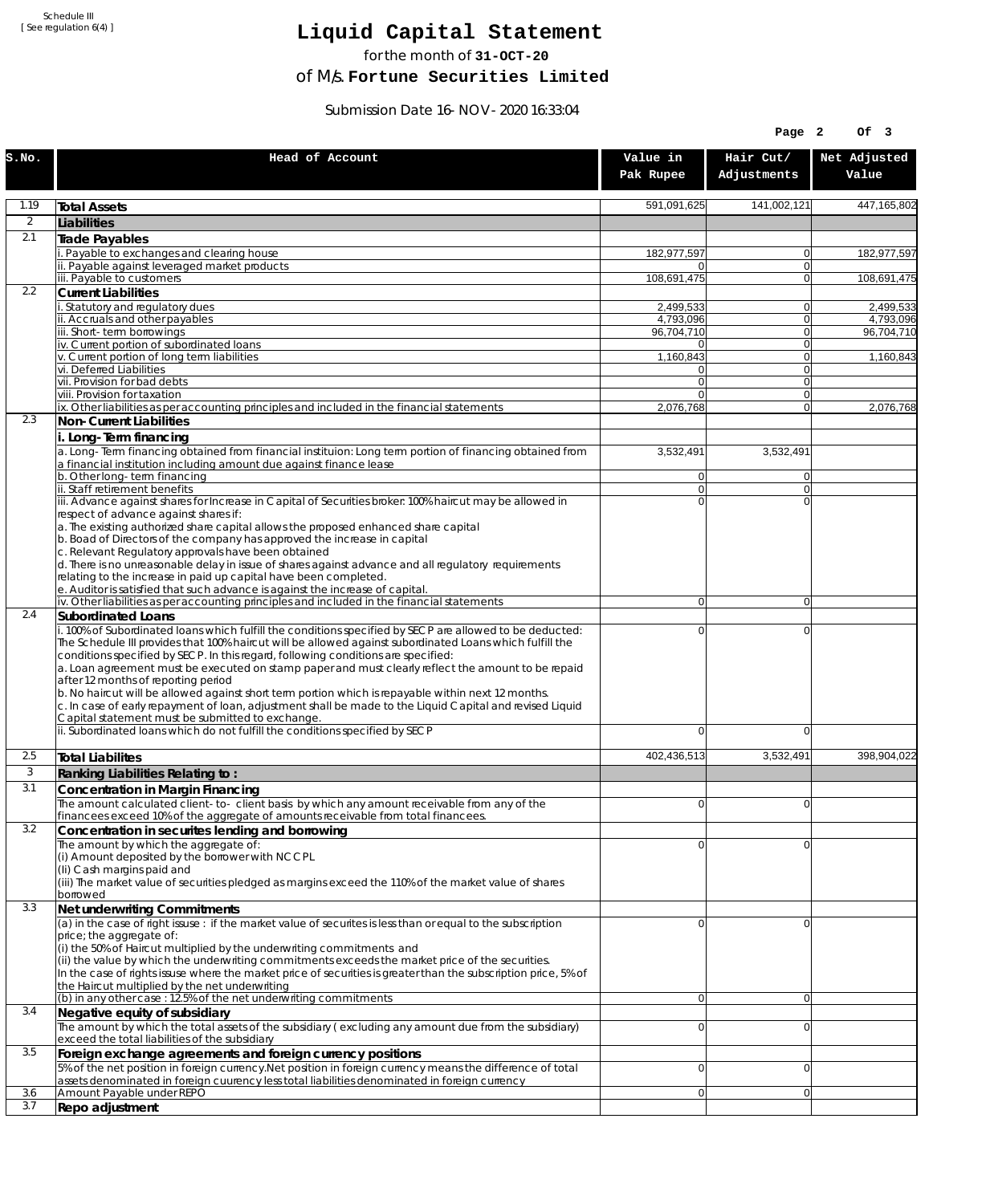Schedule III [ See regulation 6(4) ]

## **Liquid Capital Statement**

for the month of **31-OCT-20**

of M/s. **Fortune Securities Limited**

Submission Date 16-NOV-2020 16:33:04

|                |                                                                                                                                                                                                                                                                                                                                                                                                                                                                                                                                                                                                                                                                                                                             |                                  | Page 2                         | OF <sub>3</sub>        |
|----------------|-----------------------------------------------------------------------------------------------------------------------------------------------------------------------------------------------------------------------------------------------------------------------------------------------------------------------------------------------------------------------------------------------------------------------------------------------------------------------------------------------------------------------------------------------------------------------------------------------------------------------------------------------------------------------------------------------------------------------------|----------------------------------|--------------------------------|------------------------|
| S.NO.          | Head of Account                                                                                                                                                                                                                                                                                                                                                                                                                                                                                                                                                                                                                                                                                                             | Value in<br>Pak Rupee            | Hair Cut/<br>Adjustments       | Net Adjusted<br>Value  |
| 1.19           | <b>Total Assets</b>                                                                                                                                                                                                                                                                                                                                                                                                                                                                                                                                                                                                                                                                                                         | 591,091,625                      | 141,002,121                    | 447,165,802            |
| $\overline{2}$ | Liabilities                                                                                                                                                                                                                                                                                                                                                                                                                                                                                                                                                                                                                                                                                                                 |                                  |                                |                        |
| 2.1            | <b>Trade Payables</b>                                                                                                                                                                                                                                                                                                                                                                                                                                                                                                                                                                                                                                                                                                       |                                  |                                |                        |
|                | Payable to exchanges and clearing house<br>ii. Payable against leveraged market products                                                                                                                                                                                                                                                                                                                                                                                                                                                                                                                                                                                                                                    | 182,977,597<br>0                 | 0<br>$\mathbf{0}$              | 182,977,597            |
|                | iii. Payable to customers                                                                                                                                                                                                                                                                                                                                                                                                                                                                                                                                                                                                                                                                                                   | 108,691,475                      | 0                              | 108,691,475            |
| 2.2            | <b>Current Liabilities</b>                                                                                                                                                                                                                                                                                                                                                                                                                                                                                                                                                                                                                                                                                                  |                                  |                                |                        |
|                | . Statutory and regulatory dues<br>ii. Accruals and other payables                                                                                                                                                                                                                                                                                                                                                                                                                                                                                                                                                                                                                                                          | 2,499,533<br>4,793,096           | 0<br>$\mathbf{0}$              | 2,499,533<br>4,793,096 |
|                | iii. Short-term borrowings                                                                                                                                                                                                                                                                                                                                                                                                                                                                                                                                                                                                                                                                                                  | 96,704,710                       | 0                              | 96,704,710             |
|                | iv. Current portion of subordinated loans                                                                                                                                                                                                                                                                                                                                                                                                                                                                                                                                                                                                                                                                                   | 01                               | 0                              |                        |
|                | v. Current portion of long term liabilities<br>vi. Deferred Liabilities                                                                                                                                                                                                                                                                                                                                                                                                                                                                                                                                                                                                                                                     | 1,160,843<br>0                   | $\mathbf{0}$<br>0              | 1,160,843              |
|                | vii. Provision for bad debts                                                                                                                                                                                                                                                                                                                                                                                                                                                                                                                                                                                                                                                                                                | $\overline{0}$                   | $\mathbf{0}$                   |                        |
|                | viii. Provision for taxation                                                                                                                                                                                                                                                                                                                                                                                                                                                                                                                                                                                                                                                                                                | $\Omega$                         | $\mathbf{0}$<br>$\overline{0}$ |                        |
| 2.3            | ix. Other liabilities as per accounting principles and included in the financial statements<br>Non-Current Liabilities                                                                                                                                                                                                                                                                                                                                                                                                                                                                                                                                                                                                      | 2,076,768                        |                                | 2,076,768              |
|                | i. Long-Term financing                                                                                                                                                                                                                                                                                                                                                                                                                                                                                                                                                                                                                                                                                                      |                                  |                                |                        |
|                | a. Long-Term financing obtained from financial instituion: Long term portion of financing obtained from<br>a financial institution including amount due against finance lease                                                                                                                                                                                                                                                                                                                                                                                                                                                                                                                                               | 3,532,491                        | 3,532,491                      |                        |
|                | b. Other long-term financing<br>ii. Staff retirement benefits                                                                                                                                                                                                                                                                                                                                                                                                                                                                                                                                                                                                                                                               | $\overline{0}$<br>$\overline{0}$ | $\mathbf{0}$<br>0              |                        |
|                | iii. Advance against shares for Increase in Capital of Securities broker: 100% haircut may be allowed in                                                                                                                                                                                                                                                                                                                                                                                                                                                                                                                                                                                                                    | $\Omega$                         | $\Omega$                       |                        |
|                | respect of advance against shares if:<br>a. The existing authorized share capital allows the proposed enhanced share capital<br>b. Boad of Directors of the company has approved the increase in capital<br>c. Relevant Regulatory approvals have been obtained<br>d. There is no unreasonable delay in issue of shares against advance and all regulatory requirements<br>relating to the increase in paid up capital have been completed.                                                                                                                                                                                                                                                                                 |                                  |                                |                        |
|                | e. Auditor is satisfied that such advance is against the increase of capital.<br>iv. Other liabilities as per accounting principles and included in the financial statements                                                                                                                                                                                                                                                                                                                                                                                                                                                                                                                                                | $\overline{0}$                   | $\overline{0}$                 |                        |
| 2.4            | <b>Subordinated Loans</b>                                                                                                                                                                                                                                                                                                                                                                                                                                                                                                                                                                                                                                                                                                   |                                  |                                |                        |
|                | . 100% of Subordinated loans which fulfill the conditions specified by SECP are allowed to be deducted:<br>The Schedule III provides that 100% haircut will be allowed against subordinated Loans which fulfill the<br>conditions specified by SECP. In this regard, following conditions are specified:<br>a. Loan agreement must be executed on stamp paper and must clearly reflect the amount to be repaid<br>after 12 months of reporting period<br>b. No haircut will be allowed against short term portion which is repayable within next 12 months.<br>c. In case of early repayment of loan, adjustment shall be made to the Liquid Capital and revised Liquid<br>Capital statement must be submitted to exchange. | 0                                | 0                              |                        |
|                | ii. Subordinated loans which do not fulfill the conditions specified by SECP                                                                                                                                                                                                                                                                                                                                                                                                                                                                                                                                                                                                                                                | 0                                | 0                              |                        |
| 2.5            | <b>Total Liabilites</b>                                                                                                                                                                                                                                                                                                                                                                                                                                                                                                                                                                                                                                                                                                     | 402,436,513                      | 3,532,491                      | 398,904,022            |
| 3              | Ranking Liabilities Relating to:                                                                                                                                                                                                                                                                                                                                                                                                                                                                                                                                                                                                                                                                                            |                                  |                                |                        |
| 3.1            | Concentration in Margin Financing                                                                                                                                                                                                                                                                                                                                                                                                                                                                                                                                                                                                                                                                                           |                                  |                                |                        |
|                | The amount calculated client-to- client basis by which any amount receivable from any of the                                                                                                                                                                                                                                                                                                                                                                                                                                                                                                                                                                                                                                | ΩI                               | $\Omega$                       |                        |
| 3.2            | financees exceed 10% of the aggregate of amounts receivable from total financees.<br>Concentration in securites lending and borrowing                                                                                                                                                                                                                                                                                                                                                                                                                                                                                                                                                                                       |                                  |                                |                        |
|                | The amount by which the aggregate of:<br>(i) Amount deposited by the borrower with NCCPL<br>(Ii) Cash margins paid and<br>(iii) The market value of securities pledged as margins exceed the 110% of the market value of shares<br>borrowed                                                                                                                                                                                                                                                                                                                                                                                                                                                                                 | 0                                | 0                              |                        |
| 3.3            | Net underwriting Commitments                                                                                                                                                                                                                                                                                                                                                                                                                                                                                                                                                                                                                                                                                                |                                  |                                |                        |
|                | (a) in the case of right issuse : if the market value of securites is less than or equal to the subscription<br>price; the aggregate of:<br>(i) the 50% of Haircut multiplied by the underwriting commitments and<br>(ii) the value by which the underwriting commitments exceeds the market price of the securities.<br>In the case of rights issuse where the market price of securities is greater than the subscription price, 5% of<br>the Haircut multiplied by the net underwriting                                                                                                                                                                                                                                  | 0                                | 0                              |                        |
|                | (b) in any other case: 12.5% of the net underwriting commitments                                                                                                                                                                                                                                                                                                                                                                                                                                                                                                                                                                                                                                                            | 0                                | 0                              |                        |
| 3.4            | Negative equity of subsidiary<br>The amount by which the total assets of the subsidiary (excluding any amount due from the subsidiary)<br>exceed the total liabilities of the subsidiary                                                                                                                                                                                                                                                                                                                                                                                                                                                                                                                                    | $\overline{0}$                   | 0                              |                        |
| 3.5            | Foreign exchange agreements and foreign currency positions                                                                                                                                                                                                                                                                                                                                                                                                                                                                                                                                                                                                                                                                  |                                  |                                |                        |
|                | 5% of the net position in foreign currency. Net position in foreign currency means the difference of total<br>assets denominated in foreign cuurency less total liabilities denominated in foreign currency                                                                                                                                                                                                                                                                                                                                                                                                                                                                                                                 | 0                                | 0                              |                        |
| 3.6<br>3.7     | Amount Payable under REPO<br>Repo adjustment                                                                                                                                                                                                                                                                                                                                                                                                                                                                                                                                                                                                                                                                                | 0                                | 0                              |                        |
|                |                                                                                                                                                                                                                                                                                                                                                                                                                                                                                                                                                                                                                                                                                                                             |                                  |                                |                        |